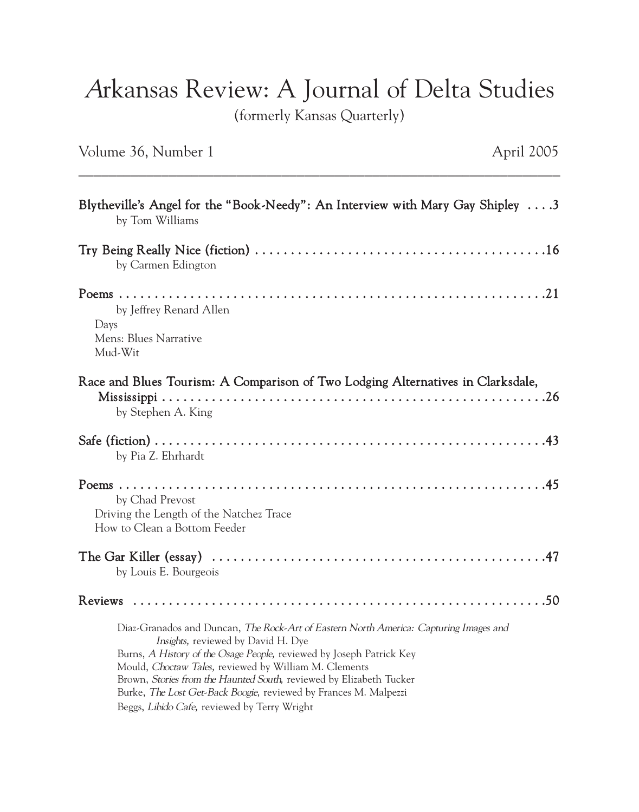## Arkansas Review: A Journal of Delta Studies

(formerly Kansas Quarterly)

## Volume 36, Number 1 April 2005

| Blytheville's Angel for the "Book-Needy": An Interview with Mary Gay Shipley 3<br>by Tom Williams                                                                                                                                                                                                                                                                                                                                                       |
|---------------------------------------------------------------------------------------------------------------------------------------------------------------------------------------------------------------------------------------------------------------------------------------------------------------------------------------------------------------------------------------------------------------------------------------------------------|
| by Carmen Edington                                                                                                                                                                                                                                                                                                                                                                                                                                      |
| by Jeffrey Renard Allen<br>Days<br>Mens: Blues Narrative<br>Mud-Wit                                                                                                                                                                                                                                                                                                                                                                                     |
| Race and Blues Tourism: A Comparison of Two Lodging Alternatives in Clarksdale,<br>by Stephen A. King                                                                                                                                                                                                                                                                                                                                                   |
| by Pia Z. Ehrhardt                                                                                                                                                                                                                                                                                                                                                                                                                                      |
| by Chad Prevost<br>Driving the Length of the Natchez Trace<br>How to Clean a Bottom Feeder                                                                                                                                                                                                                                                                                                                                                              |
| by Louis E. Bourgeois                                                                                                                                                                                                                                                                                                                                                                                                                                   |
|                                                                                                                                                                                                                                                                                                                                                                                                                                                         |
| Diaz-Granados and Duncan, The Rock-Art of Eastern North America: Capturing Images and<br>Insights, reviewed by David H. Dye<br>Burns, A History of the Osage People, reviewed by Joseph Patrick Key<br>Mould, Choctaw Tales, reviewed by William M. Clements<br>Brown, Stories from the Haunted South, reviewed by Elizabeth Tucker<br>Burke, The Lost Get-Back Boogie, reviewed by Frances M. Malpezzi<br>Beggs, Libido Cafe, reviewed by Terry Wright |